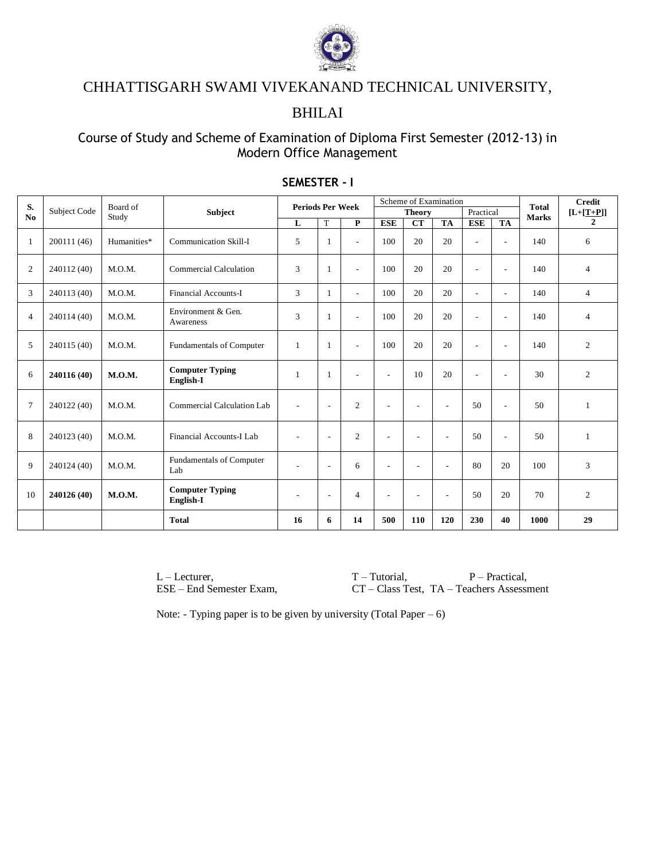

## CHHATTISGARH SWAMI VIVEKANAND TECHNICAL UNIVERSITY,

## BHILAI

### Course of Study and Scheme of Examination of Diploma First Semester (2012-13) in Modern Office Management

| S.             |              | Board of<br>Study |                                     | <b>Periods Per Week</b>  |                          |                          |                          | Scheme of Examination    |                          |                          | <b>Total</b>             | <b>Credit</b> |                |
|----------------|--------------|-------------------|-------------------------------------|--------------------------|--------------------------|--------------------------|--------------------------|--------------------------|--------------------------|--------------------------|--------------------------|---------------|----------------|
| No             | Subject Code |                   | <b>Subject</b>                      |                          |                          |                          |                          | <b>Theory</b>            |                          | Practical                |                          | <b>Marks</b>  | $[L+[T+P]]$    |
|                |              |                   |                                     | L                        | T                        | P                        | <b>ESE</b>               | CT                       | <b>TA</b>                | <b>ESE</b>               | <b>TA</b>                |               | $\mathbf{2}$   |
| 1              | 200111 (46)  | Humanities*       | <b>Communication Skill-I</b>        | 5                        |                          | $\sim$                   | 100                      | 20                       | 20                       | $\sim$                   | $\overline{\phantom{a}}$ | 140           | 6              |
| $\overline{c}$ | 240112 (40)  | M.O.M.            | <b>Commercial Calculation</b>       | 3                        |                          | $\sim$                   | 100                      | 20                       | 20                       | ۰                        | $\overline{\phantom{a}}$ | 140           | $\overline{4}$ |
| 3              | 240113 (40)  | M.O.M.            | Financial Accounts-I                | 3                        | -1                       | $\sim$                   | 100                      | 20                       | 20                       | $\overline{\phantom{0}}$ | $\overline{\phantom{a}}$ | 140           | $\overline{4}$ |
| $\overline{4}$ | 240114 (40)  | M.O.M.            | Environment & Gen.<br>Awareness     | 3                        |                          | $\sim$                   | 100                      | 20                       | 20                       | ٠                        | $\overline{\phantom{a}}$ | 140           | $\overline{4}$ |
| 5              | 240115 (40)  | M.O.M.            | Fundamentals of Computer            | 1                        | -1                       | $\overline{\phantom{a}}$ | 100                      | 20                       | 20                       | ۰                        | $\overline{\phantom{a}}$ | 140           | 2              |
| 6              | 240116 (40)  | M.O.M.            | <b>Computer Typing</b><br>English-I | 1                        | -1                       | $\overline{\phantom{a}}$ | $\sim$                   | 10                       | 20                       | ۰                        | $\overline{\phantom{a}}$ | 30            | $\overline{2}$ |
| $\overline{7}$ | 240122 (40)  | M.O.M.            | Commercial Calculation Lab          | $\overline{a}$           | $\overline{a}$           | $\overline{2}$           | $\overline{\phantom{a}}$ | ÷,                       | $\sim$                   | 50                       | $\overline{\phantom{a}}$ | 50            | $\mathbf{1}$   |
| 8              | 240123 (40)  | M.O.M.            | Financial Accounts-I Lab            | $\overline{a}$           | $\overline{a}$           | $\mathfrak{2}$           | $\overline{\phantom{a}}$ | ٠                        | $\overline{\phantom{a}}$ | 50                       | $\overline{\phantom{a}}$ | 50            | 1              |
| 9              | 240124 (40)  | M.O.M.            | Fundamentals of Computer<br>Lab     | $\overline{a}$           | $\overline{a}$           | 6                        | $\overline{\phantom{a}}$ | ÷,                       | $\overline{\phantom{a}}$ | 80                       | 20                       | 100           | 3              |
| 10             | 240126 (40)  | M.O.M.            | <b>Computer Typing</b><br>English-I | $\overline{\phantom{a}}$ | $\overline{\phantom{a}}$ | $\overline{4}$           | $\overline{\phantom{a}}$ | $\overline{\phantom{a}}$ | $\overline{\phantom{a}}$ | 50                       | 20                       | 70            | 2              |
|                |              |                   | <b>Total</b>                        | 16                       | 6                        | 14                       | 500                      | 110                      | 120                      | 230                      | 40                       | 1000          | 29             |

#### **SEMESTER - I**

L – Lecturer, T – Tutorial, P – Practical, ESE – End Semester Exam, T – Tutorial, P – Practical, ESE – End Semester Exam, CT – Class Test, TA – Teachers Assessi CT – Class Test, TA – Teachers Assessment

Note: - Typing paper is to be given by university (Total Paper  $-6$ )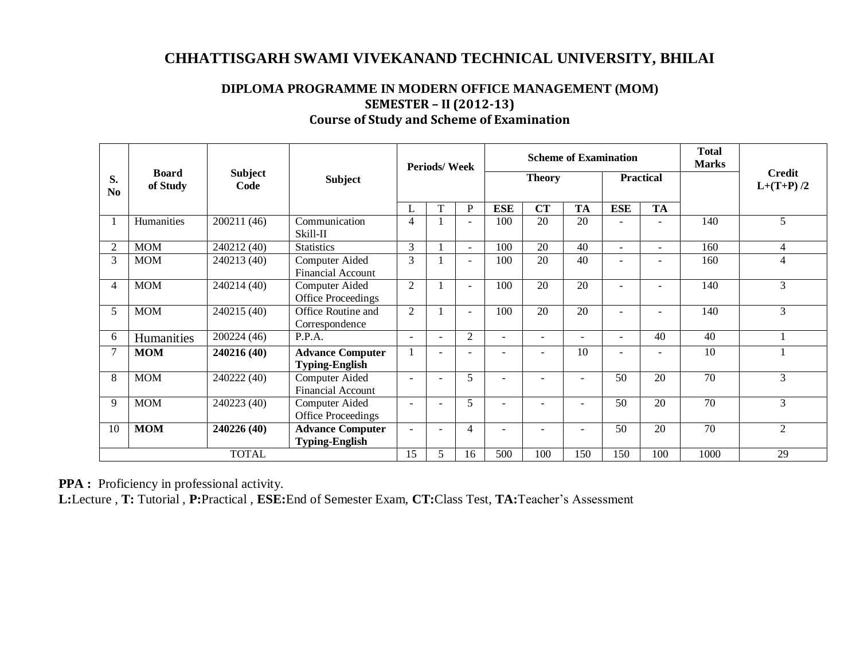## **CHHATTISGARH SWAMI VIVEKANAND TECHNICAL UNIVERSITY, BHILAI**

|                      |                          |                        |                                                  | <b>Periods/Week</b> |                          |                          |               |                | <b>Scheme of Examination</b> | <b>Total</b><br><b>Marks</b> |                          |      |                              |
|----------------------|--------------------------|------------------------|--------------------------------------------------|---------------------|--------------------------|--------------------------|---------------|----------------|------------------------------|------------------------------|--------------------------|------|------------------------------|
| S.<br>N <sub>0</sub> | <b>Board</b><br>of Study | <b>Subject</b><br>Code | <b>Subject</b>                                   |                     |                          |                          | <b>Theory</b> |                |                              |                              | <b>Practical</b>         |      | <b>Credit</b><br>$L+(T+P)/2$ |
|                      |                          |                        |                                                  | L                   | T                        | P                        | <b>ESE</b>    | <b>CT</b>      | <b>TA</b>                    | <b>ESE</b>                   | <b>TA</b>                |      |                              |
|                      | Humanities               | 200211 (46)            | Communication<br>Skill-II                        | 4                   |                          | $\overline{\phantom{0}}$ | 100           | 20             | 20                           |                              |                          | 140  | 5                            |
| $\overline{2}$       | <b>MOM</b>               | 240212 (40)            | <b>Statistics</b>                                | 3                   |                          | $\sim$                   | 100           | 20             | 40                           |                              | $\overline{\phantom{a}}$ | 160  | 4                            |
| 3                    | <b>MOM</b>               | 240213 (40)            | Computer Aided<br><b>Financial Account</b>       | 3                   |                          | ٠                        | 100           | 20             | 40                           |                              |                          | 160  | $\overline{4}$               |
| 4                    | <b>MOM</b>               | 240214 (40)            | Computer Aided<br>Office Proceedings             | $\overline{2}$      |                          | $\blacksquare$           | 100           | 20             | 20                           |                              |                          | 140  | 3                            |
| 5                    | <b>MOM</b>               | 240215 (40)            | Office Routine and<br>Correspondence             | 2                   |                          | $\equiv$                 | 100           | 20             | 20                           |                              |                          | 140  | 3                            |
| 6                    | Humanities               | 200224 (46)            | P.P.A.                                           | $\sim$              | $\overline{\phantom{0}}$ | 2                        | ٠             | ÷              | $\sim$                       | $\sim$                       | 40                       | 40   |                              |
| $\tau$               | <b>MOM</b>               | 240216 (40)            | <b>Advance Computer</b><br><b>Typing-English</b> |                     | $\overline{\phantom{a}}$ | $\blacksquare$           | ۰             | $\blacksquare$ | 10                           |                              |                          | 10   |                              |
| 8                    | <b>MOM</b>               | 240222 (40)            | Computer Aided<br><b>Financial Account</b>       |                     |                          | 5                        | ÷,            |                |                              | 50                           | 20                       | 70   | 3                            |
| 9                    | <b>MOM</b>               | 240223 (40)            | Computer Aided<br>Office Proceedings             |                     |                          | 5                        |               |                |                              | 50                           | 20                       | 70   | 3                            |
| 10                   | <b>MOM</b>               | 240226 (40)            | <b>Advance Computer</b><br><b>Typing-English</b> | $\blacksquare$      | $\sim$                   | 4                        | $\equiv$      |                |                              | 50                           | 20                       | 70   | 2                            |
|                      |                          | <b>TOTAL</b>           |                                                  | 15                  | 5                        | 16                       | 500           | 100            | 150                          | 150                          | 100                      | 1000 | 29                           |

#### **DIPLOMA PROGRAMME IN MODERN OFFICE MANAGEMENT (MOM) SEMESTER – II (2012-13) Course of Study and Scheme of Examination**

**PPA :** Proficiency in professional activity.

**L:**Lecture , **T:** Tutorial , **P:**Practical , **ESE:**End of Semester Exam, **CT:**Class Test, **TA:**Teacher's Assessment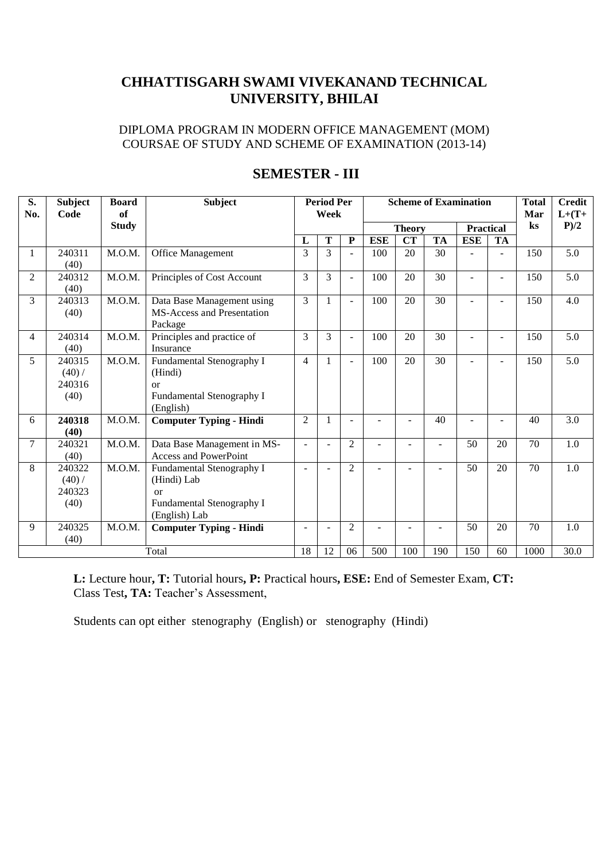## **CHHATTISGARH SWAMI VIVEKANAND TECHNICAL UNIVERSITY, BHILAI**

DIPLOMA PROGRAM IN MODERN OFFICE MANAGEMENT (MOM) COURSAE OF STUDY AND SCHEME OF EXAMINATION (2013-14)

| S.<br>No.      | <b>Subject</b><br>Code             | <b>Board</b><br><b>of</b> | <b>Subject</b>                                                                                       | <b>Period Per</b><br><b>Scheme of Examination</b><br>Week |                |                          |            |                          |           | <b>Total</b><br>Mar | <b>Credit</b><br>$L+(T+$ |          |                  |
|----------------|------------------------------------|---------------------------|------------------------------------------------------------------------------------------------------|-----------------------------------------------------------|----------------|--------------------------|------------|--------------------------|-----------|---------------------|--------------------------|----------|------------------|
|                |                                    | <b>Study</b>              |                                                                                                      |                                                           |                |                          |            | <b>Theory</b>            |           | <b>Practical</b>    |                          | $\bf ks$ | P/2              |
|                |                                    |                           |                                                                                                      | L                                                         | T              | ${\bf P}$                | <b>ESE</b> | <b>CT</b>                | <b>TA</b> | <b>ESE</b>          | TA                       |          |                  |
| $\mathbf{1}$   | 240311<br>(40)                     | M.O.M.                    | <b>Office Management</b>                                                                             | 3                                                         | $\overline{3}$ |                          | 100        | 20                       | 30        |                     |                          | 150      | $\overline{5.0}$ |
| $\overline{2}$ | 240312<br>(40)                     | M.O.M.                    | Principles of Cost Account                                                                           | 3                                                         | $\overline{3}$ |                          | 100        | 20                       | 30        |                     |                          | 150      | 5.0              |
| 3              | 240313<br>(40)                     | M.O.M.                    | Data Base Management using<br><b>MS-Access and Presentation</b><br>Package                           | 3                                                         | $\mathbf{1}$   | $\sim$                   | 100        | 20                       | 30        |                     |                          | 150      | 4.0              |
| $\overline{4}$ | 240314<br>(40)                     | M.O.M.                    | Principles and practice of<br>Insurance                                                              | 3                                                         | 3              | $\blacksquare$           | 100        | 20                       | 30        |                     | $\sim$                   | 150      | 5.0              |
| 5              | 240315<br>(40) /<br>240316<br>(40) | M.O.M.                    | Fundamental Stenography I<br>(Hindi)<br><b>or</b><br>Fundamental Stenography I<br>(English)          | $\overline{4}$                                            | 1              | $\blacksquare$           | 100        | 20                       | 30        |                     | $\sim$                   | 150      | 5.0              |
| 6              | 240318<br>(40)                     | M.O.M.                    | <b>Computer Typing - Hindi</b>                                                                       | $\overline{2}$                                            | $\mathbf{1}$   | $\overline{\phantom{a}}$ |            |                          | 40        | ÷.                  |                          | 40       | 3.0              |
| $\overline{7}$ | 240321<br>(40)                     | M.O.M.                    | Data Base Management in MS-<br>Access and PowerPoint                                                 | ÷                                                         | $\blacksquare$ | $\overline{2}$           |            | ÷                        | $\sim$    | 50                  | 20                       | 70       | 1.0              |
| 8              | 240322<br>(40) /<br>240323<br>(40) | M.O.M.                    | Fundamental Stenography I<br>(Hindi) Lab<br>$\alpha$ r<br>Fundamental Stenography I<br>(English) Lab | ٠                                                         | $\sim$         | 2                        |            | ÷                        |           | 50                  | 20                       | 70       | 1.0              |
| 9              | 240325<br>(40)                     | M.O.M.                    | <b>Computer Typing - Hindi</b>                                                                       | $\blacksquare$                                            | $\blacksquare$ | $\overline{2}$           | ۰          | $\overline{\phantom{a}}$ |           | 50                  | 20                       | 70       | 1.0              |
|                |                                    |                           | Total                                                                                                | 18                                                        | 12             | 06                       | 500        | 100                      | 190       | 150                 | 60                       | 1000     | 30.0             |

## **SEMESTER - III**

**L:** Lecture hour**, T:** Tutorial hours**, P:** Practical hours**, ESE:** End of Semester Exam, **CT:**  Class Test, TA: Teacher's Assessment,

Students can opt either stenography (English) or stenography (Hindi)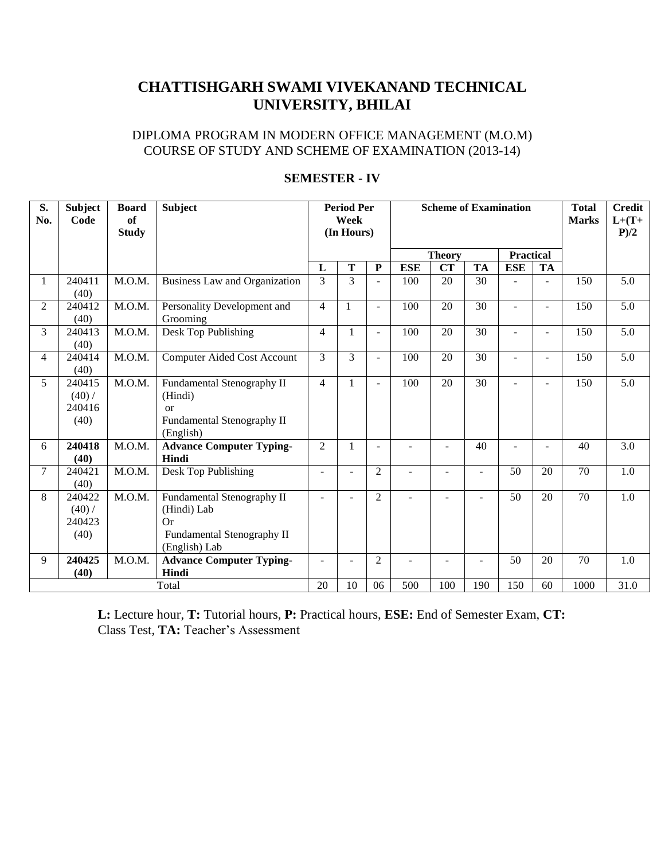## **CHATTISHGARH SWAMI VIVEKANAND TECHNICAL UNIVERSITY, BHILAI**

#### DIPLOMA PROGRAM IN MODERN OFFICE MANAGEMENT (M.O.M) COURSE OF STUDY AND SCHEME OF EXAMINATION (2013-14)

| S.<br>No.      | <b>Subject</b><br>Code             | <b>Board</b><br>of<br><b>Study</b> | <b>Subject</b>                                                                                    | <b>Period Per</b><br>Week<br>(In Hours) |                |                          |                | <b>Scheme of Examination</b> |           | <b>Total</b><br><b>Marks</b> | <b>Credit</b><br>$L+(T+$<br>P/2 |                 |      |
|----------------|------------------------------------|------------------------------------|---------------------------------------------------------------------------------------------------|-----------------------------------------|----------------|--------------------------|----------------|------------------------------|-----------|------------------------------|---------------------------------|-----------------|------|
|                |                                    |                                    |                                                                                                   |                                         |                |                          | <b>Theory</b>  |                              |           | <b>Practical</b>             |                                 |                 |      |
|                |                                    |                                    |                                                                                                   | L                                       | T              | $\mathbf P$              | <b>ESE</b>     | <b>CT</b>                    | <b>TA</b> | <b>ESE</b>                   | <b>TA</b>                       |                 |      |
| 1              | 240411<br>(40)                     | M.O.M.                             | Business Law and Organization                                                                     | 3                                       | $\overline{3}$ | $\overline{a}$           | 100            | 20                           | 30        |                              |                                 | 150             | 5.0  |
| 2              | 240412<br>(40)                     | M.O.M.                             | Personality Development and<br>Grooming                                                           | $\overline{4}$                          | 1              | $\overline{a}$           | 100            | 20                           | 30        | $\blacksquare$               | ٠                               | 150             | 5.0  |
| 3              | 240413<br>(40)                     | M.O.M.                             | Desk Top Publishing                                                                               | $\overline{4}$                          |                | $\equiv$                 | 100            | 20                           | 30        |                              |                                 | 150             | 5.0  |
| 4              | 240414<br>(40)                     | M.O.M.                             | <b>Computer Aided Cost Account</b>                                                                | 3                                       | $\overline{3}$ | $\overline{a}$           | 100            | 20                           | 30        |                              | ٠                               | 150             | 5.0  |
| 5 <sup>5</sup> | 240415<br>(40) /<br>240416<br>(40) | M.O.M.                             | Fundamental Stenography II<br>(Hindi)<br><sub>or</sub><br>Fundamental Stenography II<br>(English) | 4                                       |                | $\overline{\phantom{a}}$ | 100            | 20                           | 30        |                              |                                 | 150             | 5.0  |
| 6              | 240418<br>(40)                     | M.O.M.                             | <b>Advance Computer Typing-</b><br>Hindi                                                          | $\overline{2}$                          |                | $\blacksquare$           |                |                              | 40        |                              |                                 | 40              | 3.0  |
| $\tau$         | 240421<br>(40)                     | M.O.M.                             | Desk Top Publishing                                                                               |                                         |                | $\overline{2}$           | ÷              |                              |           | 50                           | 20                              | 70              | 1.0  |
| 8              | 240422<br>(40) /<br>240423<br>(40) | M.O.M.                             | Fundamental Stenography II<br>(Hindi) Lab<br>Or<br>Fundamental Stenography II<br>(English) Lab    | ÷                                       |                | $\overline{2}$           | $\sim$         |                              |           | 50                           | 20                              | $\overline{70}$ | 1.0  |
| 9              | 240425<br>(40)                     | M.O.M.                             | <b>Advance Computer Typing-</b><br>Hindi                                                          |                                         |                | $\overline{2}$           | $\overline{a}$ | $\overline{\phantom{a}}$     | ÷         | 50                           | 20                              | 70              | 1.0  |
|                |                                    |                                    | Total                                                                                             | 20                                      | 10             | 06                       | 500            | 100                          | 190       | 150                          | 60                              | 1000            | 31.0 |

#### **SEMESTER - IV**

**L:** Lecture hour, **T:** Tutorial hours, **P:** Practical hours, **ESE:** End of Semester Exam, **CT:**  Class Test, **TA:** Teacher's Assessment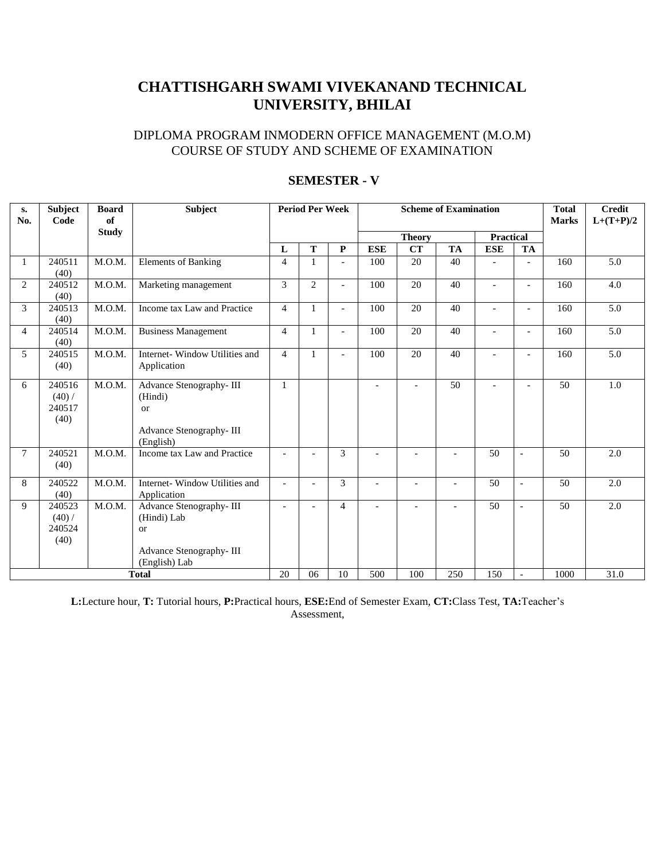# **CHATTISHGARH SWAMI VIVEKANAND TECHNICAL UNIVERSITY, BHILAI**

#### DIPLOMA PROGRAM INMODERN OFFICE MANAGEMENT (M.O.M) COURSE OF STUDY AND SCHEME OF EXAMINATION

| s.<br>No.      | <b>Subject</b><br>Code             | <b>Board</b><br>of | Subject                                                                                        |                          | <b>Period Per Week</b> |                          |               | <b>Scheme of Examination</b> | <b>Total</b><br><b>Marks</b> | <b>Credit</b><br>$L+(T+P)/2$ |                          |      |     |
|----------------|------------------------------------|--------------------|------------------------------------------------------------------------------------------------|--------------------------|------------------------|--------------------------|---------------|------------------------------|------------------------------|------------------------------|--------------------------|------|-----|
|                |                                    | <b>Study</b>       |                                                                                                |                          |                        |                          | <b>Theory</b> |                              |                              | <b>Practical</b>             |                          |      |     |
|                |                                    |                    |                                                                                                | L                        | T                      | $\mathbf{P}$             | <b>ESE</b>    | <b>CT</b>                    | TA                           | <b>ESE</b>                   | <b>TA</b>                |      |     |
| -1             | 240511<br>(40)                     | M.O.M.             | <b>Elements of Banking</b>                                                                     | 4                        |                        | $\overline{a}$           | 100           | 20                           | 40                           |                              | $\overline{a}$           | 160  | 5.0 |
| 2              | 240512<br>(40)                     | M.O.M.             | Marketing management                                                                           | 3                        | $\overline{2}$         | $\overline{\phantom{0}}$ | 100           | 20                           | 40                           |                              | $\overline{\phantom{a}}$ | 160  | 4.0 |
| 3              | 240513<br>(40)                     | M.O.M.             | Income tax Law and Practice                                                                    | $\overline{4}$           | 1                      | $\sim$                   | 100           | 20                           | 40                           |                              | $\overline{a}$           | 160  | 5.0 |
| $\overline{4}$ | 240514<br>(40)                     | M.O.M.             | <b>Business Management</b>                                                                     | $\overline{4}$           | 1                      | $\overline{a}$           | 100           | 20                           | 40                           |                              | $\overline{a}$           | 160  | 5.0 |
| 5              | 240515<br>(40)                     | M.O.M.             | Internet-Window Utilities and<br>Application                                                   | 4                        | 1                      |                          | 100           | 20                           | 40                           |                              | $\overline{a}$           | 160  | 5.0 |
| 6              | 240516<br>(40) /<br>240517<br>(40) | M.O.M.             | Advance Stenography-III<br>(Hindi)<br>$\alpha$<br>Advance Stenography-III<br>(English)         | $\mathbf{1}$             |                        |                          |               | $\overline{a}$               | 50                           |                              | $\overline{\phantom{a}}$ | 50   | 1.0 |
| $\tau$         | 240521<br>(40)                     | M.O.M.             | Income tax Law and Practice                                                                    |                          |                        | 3                        |               |                              |                              | 50                           | $\overline{a}$           | 50   | 2.0 |
| 8              | 240522<br>(40)                     | M.O.M.             | Internet-Window Utilities and<br>Application                                                   | $\sim$                   |                        | 3                        |               |                              |                              | 50                           | $\overline{a}$           | 50   | 2.0 |
| 9              | 240523<br>(40) /<br>240524<br>(40) | M.O.M.             | Advance Stenography-III<br>(Hindi) Lab<br>$\alpha$<br>Advance Stenography-III<br>(English) Lab | $\overline{\phantom{a}}$ | $\overline{a}$         | $\overline{4}$           |               | $\overline{a}$               | $\overline{a}$               | 50                           | $\overline{a}$           | 50   | 2.0 |
| <b>Total</b>   |                                    |                    | 20                                                                                             | 06                       | 10                     | 500                      | 100           | 250                          | 150                          | $\overline{\phantom{a}}$     | 1000                     | 31.0 |     |

#### **SEMESTER - V**

**L:**Lecture hour, **T:** Tutorial hours, **P:**Practical hours, **ESE:**End of Semester Exam, **CT:**Class Test, **TA:**Teacher's Assessment,